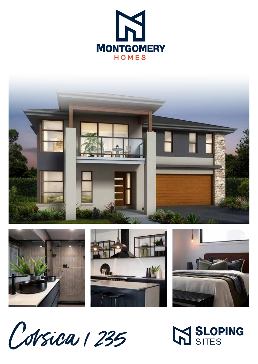





M SLOPING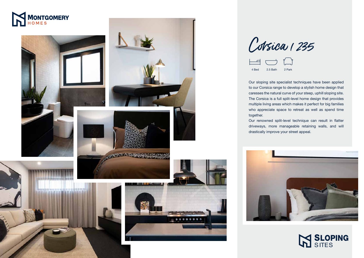









Our sloping site specialist techniques have been applied to our Corsica range to develop a stylish home design that caresses the natural curve of your steep, uphill sloping site. The Corsica is a full split-level home design that provides multiple living areas which makes it perfect for big families who appreciate space to retreat as well as spend time

together.



Colsica 1235



Our renowned split-level technique can result in flatter driveways, more manageable retaining walls, and will drastically improve your street appeal.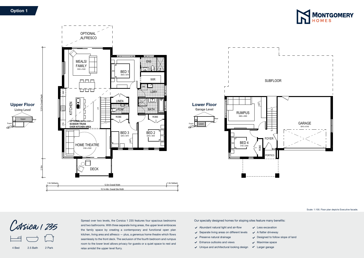

Our specially designed homes for sloping sites feature many benefits:

- $\blacktriangleright$  Abundant natural light and air-flow
- $\checkmark$  Separate living areas on different levels
- $\vee$  Preserve natural drainage
- $\checkmark$  Enhance outlooks and views
- $\vee$  Unique and architectural looking design
- $\sqrt{\phantom{a}}$  Maximise space
- Larger garage



Scale: 1:100. Floor plan depicts Executive facade.

- $\checkmark$  Less excavation
- $\swarrow$  A flatter driveway
- $\vee$  Designed to follow slope of land

Spread over two levels, the Corsica 1 235 features four spacious bedrooms and two bathrooms. With three separate living areas, the upper level embraces the family space by creating a contemporary and functional open plan kitchen, living area and alfresco — plus, a generous home theatre which flows seamlessly to the front deck. The seclusion of the fourth bedroom and rumpus room to the lower level allows privacy for guests or a quiet space to rest and relax amidst the upper level flurry.

## **Option 1**

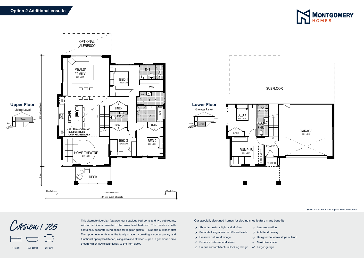

4 Bed 2.5 Bath 2 Park



Our specially designed homes for sloping sites feature many benefits:

- $\blacktriangleright$  Abundant natural light and air-flow
- $\checkmark$  Separate living areas on different levels
- $\vee$  Preserve natural drainage
- $\checkmark$  Enhance outlooks and views
- $\vee$  Unique and architectural looking design
- Larger garage

Scale: 1:100. Floor plan depicts Executive facade.

- $\checkmark$  Less excavation
- $\swarrow$  A flatter driveway
- $\vee$  Designed to follow slope of land
- $\sqrt{\phantom{a}}$  Maximise space

This alternate floorplan features four spacious bedrooms and two bathrooms, with an additional ensuite to the lower level bedroom. This creates a selfcontained, separate living space for regular guests — just add a kitchenette! The upper level embraces the family space by creating a contemporary and functional open plan kitchen, living area and alfresco — plus, a generous home theatre which flows seamlessly to the front deck.